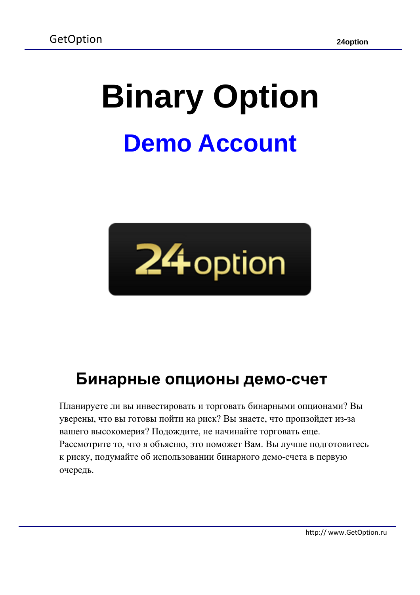# **Binary Option Demo Account**



## **Бинарные опционы демо-счет**

Планируете ли вы инвестировать и торговать бинарными опционами? Вы уверены, что вы готовы пойти на риск? Вы знаете, что произойдет из-за вашего высокомерия? Подождите, не начинайте торговать еще. Рассмотрите то, что я объясню, это поможет Вам. Вы лучше подготовитесь к риску, подумайте об использовании бинарного демо-счета в первую очередь.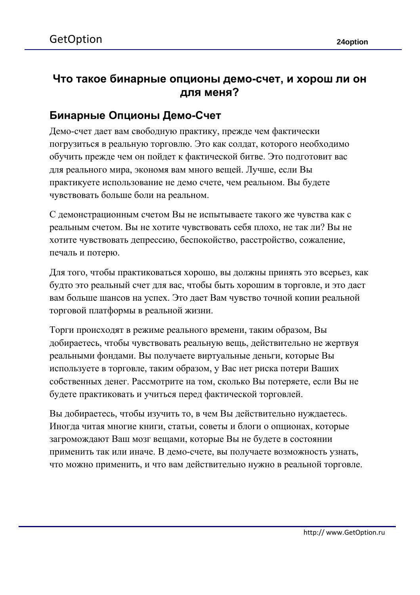#### **Что такое бинарные опционы демо-счет, и хорош ли он для меня?**

#### **Бинарные Опционы Демо-Счет**

Демо-счет дает вам свободную практику, прежде чем фактически погрузиться в реальную торговлю. Это как солдат, которого необходимо обучить прежде чем он пойдет к фактической битве. Это подготовит вас для реального мира, экономя вам много вещей. Лучше, если Вы практикуете использование не демо счете, чем реальном. Вы будете чувствовать больше боли на реальном.

С демонстрационным счетом Вы не испытываете такого же чувства как с реальным счетом. Вы не хотите чувствовать себя плохо, не так ли? Вы не хотите чувствовать депрессию, беспокойство, расстройство, сожаление, печаль и потерю.

Для того, чтобы практиковаться хорошо, вы должны принять это всерьез, как будто это реальный счет для вас, чтобы быть хорошим в торговле, и это даст вам больше шансов на успех. Это дает Вам чувство точной копии реальной торговой платформы в реальной жизни.

Торги происходят в режиме реального времени, таким образом, Вы добираетесь, чтобы чувствовать реальную вещь, действительно не жертвуя реальными фондами. Вы получаете виртуальные деньги, которые Вы используете в торговле, таким образом, у Вас нет риска потери Ваших собственных денег. Рассмотрите на том, сколько Вы потеряете, если Вы не будете практиковать и учиться перед фактической торговлей.

Вы добираетесь, чтобы изучить то, в чем Вы действительно нуждаетесь. Иногда читая многие книги, статьи, советы и блоги о опционах, которые загромождают Ваш мозг вещами, которые Вы не будете в состоянии применить так или иначе. В демо-счете, вы получаете возможность узнать, что можно применить, и что вам действительно нужно в реальной торговле.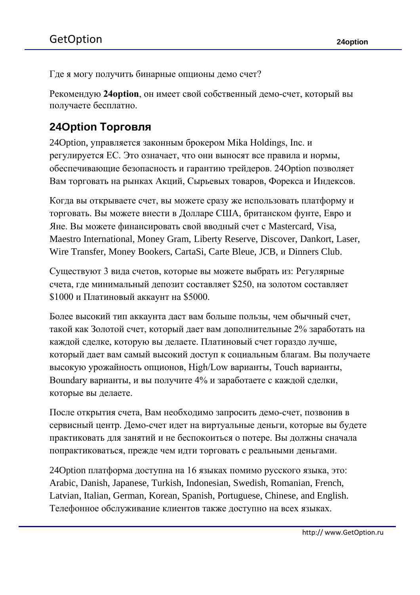Где я могу получить бинарные опционы демо счет?

Рекомендую **24option**, он имеет свой собственный демо-счет, который вы получаете бесплатно.

#### **24Option Торговля**

24Option, управляется законным брокером Mika Holdings, Inc. и регулируется ЕС. Это означает, что они выносят все правила и нормы, обеспечивающие безопасность и гарантию трейдеров. 24Option позволяет Вам торговать на рынках Акций, Сырьевых товаров, Форекса и Индексов.

Когда вы открываете счет, вы можете сразу же использовать платформу и торговать. Вы можете внести в Долларе США, британском фунте, Евро и Яне. Вы можете финансировать свой вводный счет с Mastercard, Visa, Maestro International, Money Gram, Liberty Reserve, Discover, Dankort, Laser, Wire Transfer, Money Bookers, CartaSi, Carte Bleue, JCB, и Dinners Club.

Существуют 3 вида счетов, которые вы можете выбрать из: Регулярные счета, где минимальный депозит составляет \$250, на золотом составляет \$1000 и Платиновый аккаунт на \$5000.

Более высокий тип аккаунта даст вам больше пользы, чем обычный счет, такой как Золотой счет, который дает вам дополнительные 2% заработать на каждой сделке, которую вы делаете. Платиновый счет гораздо лучше, который дает вам самый высокий доступ к социальным благам. Вы получаете высокую урожайность опционов, High/Low варианты, Touch варианты, Boundary варианты, и вы получите 4% и заработаете с каждой сделки, которые вы делаете.

После открытия счета, Вам необходимо запросить демо-счет, позвонив в сервисный центр. Демо-счет идет на виртуальные деньги, которые вы будете практиковать для занятий и не беспокоиться о потере. Вы должны сначала попрактиковаться, прежде чем идти торговать с реальными деньгами.

24Option платформа доступна на 16 языках помимо русского языка, это: Arabic, Danish, Japanese, Turkish, Indonesian, Swedish, Romanian, French, Latvian, Italian, German, Korean, Spanish, Portuguese, Chinese, and English. Телефонное обслуживание клиентов также доступно на всех языках.